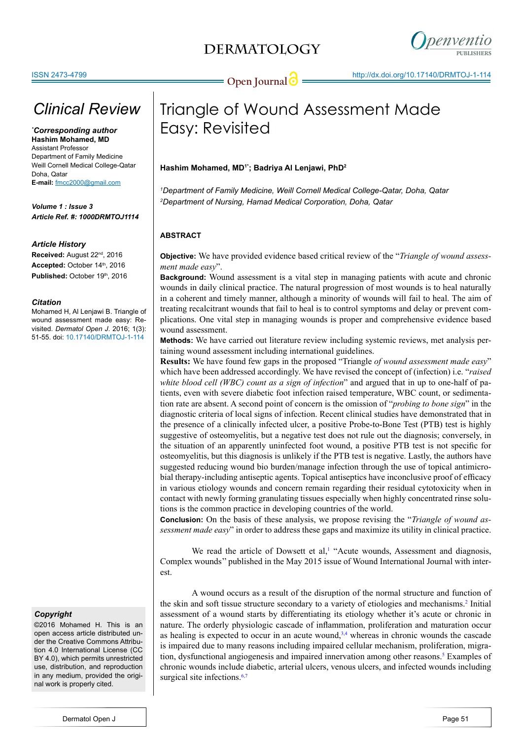

# *Clinical Review*

*\* Corresponding author* **Hashim Mohamed, MD** Assistant Professor Department of Family Medicine Weill Cornell Medical College-Qatar Doha, Qatar **E-mail:** fmcc2000@gmail.com

*Volume 1 : Issue 3 Article Ref. #: 1000DRMTOJ1114*

### *Article History*

**Received:** August 22nd, 2016 Accepted: October 14th, 2016 Published: October 19th, 2016

### *Citation*

Mohamed H, Al Lenjawi B. Triangle of wound assessment made easy: Revisited. *Dermatol Open J*. 2016; 1(3): 51-55. doi: [10.17140/DRMTOJ-1-114](http://openventio.org/Volume1_Issue2/The_Use_of_Freshly_Roasted_Coffee_Bean_Powder_in_the_Treatment_of_Burn_Wound_A_Case_Report_DRMTOJ_1_112.pdf)

### *Copyright*

©2016 Mohamed H. This is an open access article distributed under the Creative Commons Attribution 4.0 International License (CC BY 4.0), which permits unrestricted use, distribution, and reproduction in any medium, provided the original work is properly cited.

# Triangle of Wound Assessment Made Easy: Revisited

### **Hashim Mohamed, MD1\*; Badriya Al Lenjawi, PhD2**

*1 Department of Family Medicine, Weill Cornell Medical College-Qatar, Doha, Qatar 2 Department of Nursing, Hamad Medical Corporation, Doha, Qatar*

### **ABSTRACT**

**Objective:** We have provided evidence based critical review of the "*Triangle of wound assessment made easy*".

**Background:** Wound assessment is a vital step in managing patients with acute and chronic wounds in daily clinical practice. The natural progression of most wounds is to heal naturally in a coherent and timely manner, although a minority of wounds will fail to heal. The aim of treating recalcitrant wounds that fail to heal is to control symptoms and delay or prevent complications. One vital step in managing wounds is proper and comprehensive evidence based wound assessment.

**Methods:** We have carried out literature review including systemic reviews, met analysis pertaining wound assessment including international guidelines.

**Results:** We have found few gaps in the proposed "Triangle *of wound assessment made easy*" which have been addressed accordingly. We have revised the concept of (infection) i.e. "*raised white blood cell (WBC) count as a sign of infection*" and argued that in up to one-half of patients, even with severe diabetic foot infection raised temperature, WBC count, or sedimentation rate are absent. A second point of concern is the omission of "*probing to bone sign*" in the diagnostic criteria of local signs of infection. Recent clinical studies have demonstrated that in the presence of a clinically infected ulcer, a positive Probe-to-Bone Test (PTB) test is highly suggestive of osteomyelitis, but a negative test does not rule out the diagnosis; conversely, in the situation of an apparently uninfected foot wound, a positive PTB test is not specific for osteomyelitis, but this diagnosis is unlikely if the PTB test is negative. Lastly, the authors have suggested reducing wound bio burden/manage infection through the use of topical antimicrobial therapy-including antiseptic agents. Topical antiseptics have inconclusive proof of efficacy in various etiology wounds and concern remain regarding their residual cytotoxicity when in contact with newly forming granulating tissues especially when highly concentrated rinse solutions is the common practice in developing countries of the world.

**Conclusion:** On the basis of these analysis, we propose revising the "*Triangle of wound assessment made easy*" in order to address these gaps and maximize its utility in clinical practice.

We read the article of Dowsett et al, $<sup>1</sup>$  $<sup>1</sup>$  $<sup>1</sup>$  "Acute wounds, Assessment and diagnosis,</sup> Complex wounds'' published in the May 2015 issue of Wound International Journal with interest.

A wound occurs as a result of the disruption of the normal structure and function of the skin and soft tissue structure secondary to a variety of etiologies and mechanisms.<sup>[2](#page-3-1)</sup> Initial assessment of a wound starts by differentiating its etiology whether it's acute or chronic in nature. The orderly physiologic cascade of inflammation, proliferation and maturation occur as healing is expected to occur in an acute wound, $3.4$  whereas in chronic wounds the cascade is impaired due to many reasons including impaired cellular mechanism, proliferation, migration, dysfunctional angiogenesis and impaired innervation among other reasons.<sup>5</sup> Examples of chronic wounds include diabetic, arterial ulcers, venous ulcers, and infected wounds including surgical site infections.<sup>[6,7](#page-3-4)</sup>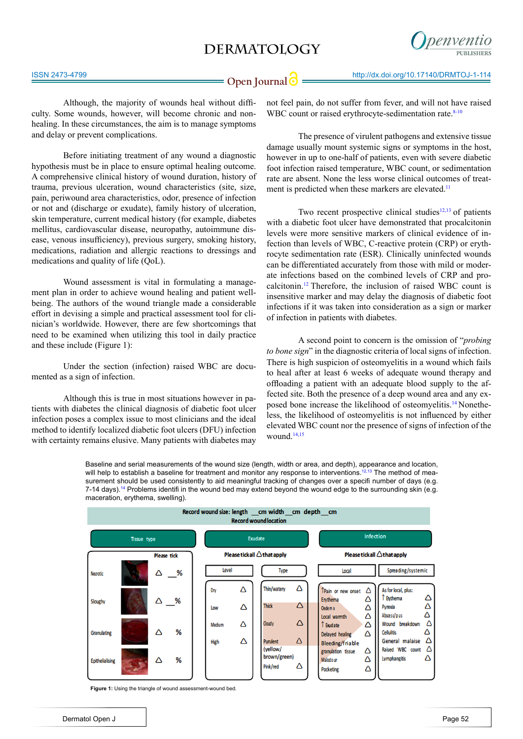

Although, the majority of wounds heal without difficulty. Some wounds, however, will become chronic and nonhealing. In these circumstances, the aim is to manage symptoms and delay or prevent complications.

Before initiating treatment of any wound a diagnostic hypothesis must be in place to ensure optimal healing outcome. A comprehensive clinical history of wound duration, history of trauma, previous ulceration, wound characteristics (site, size, pain, periwound area characteristics, odor, presence of infection or not and (discharge or exudate), family history of ulceration, skin temperature, current medical history (for example, diabetes mellitus, cardiovascular disease, neuropathy, autoimmune disease, venous insufficiency), previous surgery, smoking history, medications, radiation and allergic reactions to dressings and medications and quality of life (QoL).

Wound assessment is vital in formulating a management plan in order to achieve wound healing and patient wellbeing. The authors of the wound triangle made a considerable effort in devising a simple and practical assessment tool for clinician's worldwide. However, there are few shortcomings that need to be examined when utilizing this tool in daily practice and these include (Figure 1):

Under the section (infection) raised WBC are documented as a sign of infection.

Although this is true in most situations however in patients with diabetes the clinical diagnosis of diabetic foot ulcer infection poses a complex issue to most clinicians and the ideal method to identify localized diabetic foot ulcers (DFU) infection with certainty remains elusive. Many patients with diabetes may not feel pain, do not suffer from fever, and will not have raised WBC count or raised erythrocyte-sedimentation rate.<sup>8-10</sup>

The presence of virulent pathogens and extensive tissue damage usually mount systemic signs or symptoms in the host, however in up to one-half of patients, even with severe diabetic foot infection raised temperature, WBC count, or sedimentation rate are absent. None the less worse clinical outcomes of treatment is predicted when these markers are elevated.<sup>11</sup>

Two recent prospective clinical studies $12,13$  of patients with a diabetic foot ulcer have demonstrated that procalcitonin levels were more sensitive markers of clinical evidence of infection than levels of WBC, C-reactive protein (CRP) or erythrocyte sedimentation rate (ESR). Clinically uninfected wounds can be differentiated accurately from those with mild or moderate infections based on the combined levels of CRP and procalcitonin.[12](#page-3-6) Therefore, the inclusion of raised WBC count is insensitive marker and may delay the diagnosis of diabetic foot infections if it was taken into consideration as a sign or marker of infection in patients with diabetes.

A second point to concern is the omission of "*probing to bone sign*" in the diagnostic criteria of local signs of infection. There is high suspicion of osteomyelitis in a wound which fails to heal after at least 6 weeks of adequate wound therapy and offloading a patient with an adequate blood supply to the affected site. Both the presence of a deep wound area and any exposed bone increase the likelihood of osteomyelitis[.14](#page-3-7) Nonetheless, the likelihood of osteomyelitis is not influenced by either elevated WBC count nor the presence of signs of infection of the wound[.14,15](#page-3-7)





**Figure 1:** Using the triangle of wound assessment-wound bed.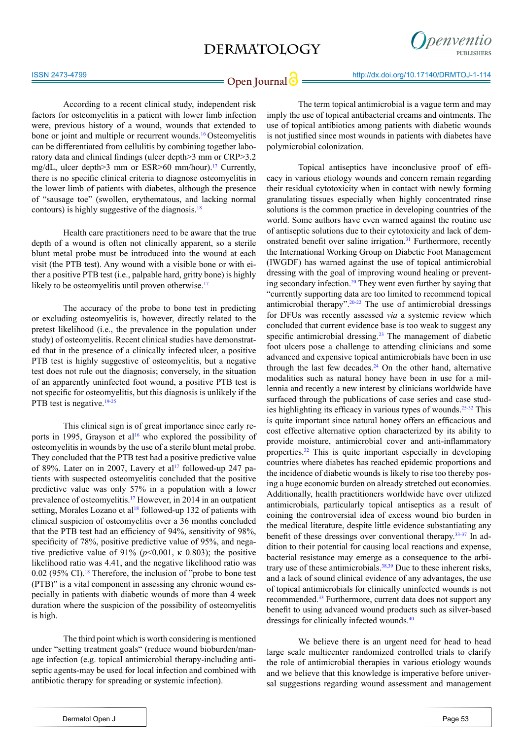

**Open Journal @** http://dx.doi.org/10.17140/DRMTOJ-1-114

According to a recent clinical study, independent risk factors for osteomyelitis in a patient with lower limb infection were, previous history of a wound, wounds that extended to bone or joint and multiple or recurrent wounds.<sup>[16](#page-3-8)</sup> Osteomyelitis can be differentiated from cellulitis by combining together laboratory data and clinical findings (ulcer depth>3 mm or CRP>3.2 mg/dL, ulcer depth>3 mm or ESR>60 mm/hour).<sup>17</sup> Currently, there is no specific clinical criteria to diagnose osteomyelitis in the lower limb of patients with diabetes, although the presence of "sausage toe" (swollen, erythematous, and lacking normal contours) is highly suggestive of the diagnosis.<sup>18</sup>

Health care practitioners need to be aware that the true depth of a wound is often not clinically apparent, so a sterile blunt metal probe must be introduced into the wound at each visit (the PTB test). Any wound with a visible bone or with either a positive PTB test (i.e., palpable hard, gritty bone) is highly likely to be osteomyelitis until proven otherwise.<sup>[17](#page-3-9)</sup>

The accuracy of the probe to bone test in predicting or excluding osteomyelitis is, however, directly related to the pretest likelihood (i.e., the prevalence in the population under study) of osteomyelitis. Recent clinical studies have demonstrated that in the presence of a clinically infected ulcer, a positive PTB test is highly suggestive of osteomyelitis, but a negative test does not rule out the diagnosis; conversely, in the situation of an apparently uninfected foot wound, a positive PTB test is not specific for osteomyelitis, but this diagnosis is unlikely if the PTB test is negative.<sup>[19-25](#page-3-11)</sup>

This clinical sign is of great importance since early reports in 1995, Grayson et al<sup>16</sup> who explored the possibility of osteomyelitis in wounds by the use of a sterile blunt metal probe. They concluded that the PTB test had a positive predictive value of 89%. Later on in 2007, Lavery et al<sup>17</sup> followed-up 247 patients with suspected osteomyelitis concluded that the positive predictive value was only 57% in a population with a lower prevalence of osteomyelitis[.17](#page-3-9) However, in 2014 in an outpatient setting, Morales Lozano et al<sup>18</sup> followed-up 132 of patients with clinical suspicion of osteomyelitis over a 36 months concluded that the PTB test had an efficiency of 94%, sensitivity of 98%, specificity of 78%, positive predictive value of 95%, and negative predictive value of 91% ( $p$ <0.001,  $\kappa$  0.803); the positive likelihood ratio was 4.41, and the negative likelihood ratio was 0.02 (95% CI).<sup>[18](#page-3-10)</sup> Therefore, the inclusion of "probe to bone test" (PTB)" is a vital component in assessing any chronic wound especially in patients with diabetic wounds of more than 4 week duration where the suspicion of the possibility of osteomyelitis is high.

The third point which is worth considering is mentioned under "setting treatment goals" (reduce wound bioburden/manage infection (e.g. topical antimicrobial therapy-including antiseptic agents-may be used for local infection and combined with antibiotic therapy for spreading or systemic infection).

The term topical antimicrobial is a vague term and may imply the use of topical antibacterial creams and ointments. The use of topical antibiotics among patients with diabetic wounds is not justified since most wounds in patients with diabetes have polymicrobial colonization.

Topical antiseptics have inconclusive proof of efficacy in various etiology wounds and concern remain regarding their residual cytotoxicity when in contact with newly forming granulating tissues especially when highly concentrated rinse solutions is the common practice in developing countries of the world. Some authors have even warned against the routine use of antiseptic solutions due to their cytotoxicity and lack of demonstrated benefit over saline irrigation.<sup>31</sup> Furthermore, recently the International Working Group on Diabetic Foot Management (IWGDF) has warned against the use of topical antimicrobial dressing with the goal of improving wound healing or preventing secondary infection.[20](#page-4-1) They went even further by saying that "currently supporting data are too limited to recommend topical antimicrobial therapy".  $20-22$  The use of antimicrobial dressings for DFUs was recently assessed *via* a systemic review which concluded that current evidence base is too weak to suggest any specific antimicrobial dressing.<sup>[23](#page-4-2)</sup> The management of diabetic foot ulcers pose a challenge to attending clinicians and some advanced and expensive topical antimicrobials have been in use through the last few decades. $24$  On the other hand, alternative modalities such as natural honey have been in use for a millennia and recently a new interest by clinicians worldwide have surfaced through the publications of case series and case stud-ies highlighting its efficacy in various types of wounds.<sup>[25-32](#page-4-4)</sup> This is quite important since natural honey offers an efficacious and cost effective alternative option characterized by its ability to provide moisture, antimicrobial cover and anti-inflammatory properties[.32](#page-4-5) This is quite important especially in developing countries where diabetes has reached epidemic proportions and the incidence of diabetic wounds is likely to rise too thereby posing a huge economic burden on already stretched out economies. Additionally, health practitioners worldwide have over utilized antimicrobials, particularly topical antiseptics as a result of coining the controversial idea of excess wound bio burden in the medical literature, despite little evidence substantiating any benefit of these dressings over conventional therapy.[33-37](#page-4-6) In addition to their potential for causing local reactions and expense, bacterial resistance may emerge as a consequence to the arbitrary use of these antimicrobials. $38,39$  Due to these inherent risks, and a lack of sound clinical evidence of any advantages, the use of topical antimicrobials for clinically uninfected wounds is not recommended.[33](#page-4-6) Furthermore, current data does not support any benefit to using advanced wound products such as silver-based dressings for clinically infected wounds.[40](#page-4-8)

We believe there is an urgent need for head to head large scale multicenter randomized controlled trials to clarify the role of antimicrobial therapies in various etiology wounds and we believe that this knowledge is imperative before universal suggestions regarding wound assessment and management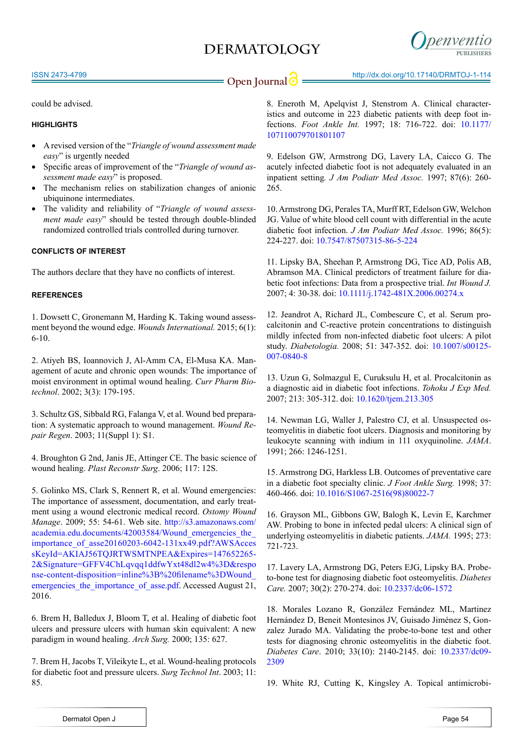

#### ISSN 2473-4799

**Open Journal @** http://dx.doi.org/10.17140/DRMTOJ-1-114

could be advised.

### **HIGHLIGHTS**

- A revised version of the "*Triangle of wound assessment made easy*" is urgently needed
- Specific areas of improvement of the "*Triangle of wound assessment made easy*" is proposed.
- The mechanism relies on stabilization changes of anionic ubiquinone intermediates.
- The validity and reliability of "*Triangle of wound assessment made easy*" should be tested through double-blinded randomized controlled trials controlled during turnover.

#### **CONFLICTS OF INTEREST**

The authors declare that they have no conflicts of interest.

#### **REFERENCES**

<span id="page-3-0"></span>1. Dowsett C, Gronemann M, Harding K. Taking wound assessment beyond the wound edge. *Wounds International.* 2015; 6(1): 6-10.

<span id="page-3-1"></span>2. Atiyeh BS, Ioannovich J, Al-Amm CA, El-Musa KA. Management of acute and chronic open wounds: The importance of moist environment in optimal wound healing. *Curr Pharm Biotechnol*. 2002; 3(3): 179-195.

<span id="page-3-2"></span>3. Schultz GS, Sibbald RG, Falanga V, et al. Wound bed preparation: A systematic approach to wound management. *Wound Repair Regen*. 2003; 11(Suppl 1): S1.

4. Broughton G 2nd, Janis JE, Attinger CE. The basic science of wound healing. *Plast Reconstr Surg*. 2006; 117: 12S.

<span id="page-3-3"></span>5. Golinko MS, Clark S, Rennert R, et al. Wound emergencies: The importance of assessment, documentation, and early treatment using a wound electronic medical record. *Ostomy Wound Manage*. 2009; 55: 54-61. Web site. [http://s3.amazonaws.com/](http://s3.amazonaws.com/academia.edu.documents/42003584/Wound_emergencies_the_importance_of_asse20160203-6042-131xx49.pdf?AWSAccessKeyId=AKIAJ56TQJRTWSMTNPEA&Expires=1476522652&Signature=GFFV4ChLqvqq1ddfwYxt48dl2w4%3D&response-content-disposition=inline%3B%20filename%3DWound_emergencies_the_importance_of_asse.pdf) academia.edu.documents/42003584/Wound\_emergencies\_the [importance\\_of\\_asse20160203-6042-131xx49.pdf?AWSAcces](http://s3.amazonaws.com/academia.edu.documents/42003584/Wound_emergencies_the_importance_of_asse20160203-6042-131xx49.pdf?AWSAccessKeyId=AKIAJ56TQJRTWSMTNPEA&Expires=1476522652&Signature=GFFV4ChLqvqq1ddfwYxt48dl2w4%3D&response-content-disposition=inline%3B%20filename%3DWound_emergencies_the_importance_of_asse.pdf) [sKeyId=AKIAJ56TQJRTWSMTNPEA&Expires=147652265-](http://s3.amazonaws.com/academia.edu.documents/42003584/Wound_emergencies_the_importance_of_asse20160203-6042-131xx49.pdf?AWSAccessKeyId=AKIAJ56TQJRTWSMTNPEA&Expires=1476522652&Signature=GFFV4ChLqvqq1ddfwYxt48dl2w4%3D&response-content-disposition=inline%3B%20filename%3DWound_emergencies_the_importance_of_asse.pdf) [2&Signature=GFFV4ChLqvqq1ddfwYxt48dl2w4%3D&respo](http://s3.amazonaws.com/academia.edu.documents/42003584/Wound_emergencies_the_importance_of_asse20160203-6042-131xx49.pdf?AWSAccessKeyId=AKIAJ56TQJRTWSMTNPEA&Expires=1476522652&Signature=GFFV4ChLqvqq1ddfwYxt48dl2w4%3D&response-content-disposition=inline%3B%20filename%3DWound_emergencies_the_importance_of_asse.pdf) [nse-content-disposition=inline%3B%20filename%3DWound\\_](http://s3.amazonaws.com/academia.edu.documents/42003584/Wound_emergencies_the_importance_of_asse20160203-6042-131xx49.pdf?AWSAccessKeyId=AKIAJ56TQJRTWSMTNPEA&Expires=1476522652&Signature=GFFV4ChLqvqq1ddfwYxt48dl2w4%3D&response-content-disposition=inline%3B%20filename%3DWound_emergencies_the_importance_of_asse.pdf) emergencies the importance of asse.pdf. Accessed August 21, 2016.

<span id="page-3-4"></span>6. Brem H, Balledux J, Bloom T, et al. Healing of diabetic foot ulcers and pressure ulcers with human skin equivalent: A new paradigm in wound healing. *Arch Surg.* [2000; 135: 627.](http://www.uptodate.com/contents/clinical-assessment-of-wounds/abstract/5)

7. Brem H, Jacobs T, Vileikyte L, et al. Wound-healing protocols for diabetic foot and pressure ulcers. *Surg Technol Int*. 2003; 11: 85.

8. Eneroth M, Apelqvist J, Stenstrom A. Clinical characteristics and outcome in 223 diabetic patients with deep foot infections. *Foot Ankle Int.* 1997; 18: 716-722. doi: [10.1177/](http://fai.sagepub.com/content/18/11/716.short) [107110079701801107](http://fai.sagepub.com/content/18/11/716.short)

9. Edelson GW, Armstrong DG, Lavery LA, Caicco G. The acutely infected diabetic foot is not adequately evaluated in an inpatient setting*. J Am Podiatr Med Assoc.* 1997; 87(6): 260- 265.

10. Armstrong DG, Perales TA, Murff RT, Edelson GW, Welchon JG. Value of white blood cell count with differential in the acute diabetic foot infection. *J Am Podiatr Med Assoc.* 1996; 86(5): 224-227. doi: [10.7547/87507315-86-5-224](http://www.japmaonline.org/doi/10.7547/87507315-86-5-224%3Furl_ver%3DZ39.88-2003%26rfr_id%3Dori:rid:crossref.org%26rfr_dat%3Dcr_pub%253dpubmed)

<span id="page-3-5"></span>11. Lipsky BA, Sheehan P, Armstrong DG, Tice AD, Polis AB, Abramson MA. Clinical predictors of treatment failure for diabetic foot infections: Data from a prospective trial. *Int Wound J.* 2007; 4: 30-38. doi: [10.1111/j.1742-481X.2006.00274.x](http://onlinelibrary.wiley.com/doi/10.1111/j.1742-481X.2006.00274.x/abstract%3Bjsessionid%3DC641E55AB5A26ABE80A13B129F8D5676.f02t01)

<span id="page-3-6"></span>12. Jeandrot A, Richard JL, Combescure C, et al. Serum procalcitonin and C-reactive protein concentrations to distinguish mildly infected from non-infected diabetic foot ulcers: A pilot study. *Diabetologia.* 2008; 51: 347-352. doi: [10.1007/s00125-](http://link.springer.com/article/10.1007%252Fs00125-007-0840-8) [007-0840-8](http://link.springer.com/article/10.1007%252Fs00125-007-0840-8) 

13. Uzun G, Solmazgul E, Curuksulu H, et al. Procalcitonin as a diagnostic aid in diabetic foot infections. *Tohoku J Exp Med.* 2007; 213: 305-312. doi: [10.1620/tjem.213.305](https://www.jstage.jst.go.jp/article/tjem/213/4/213_4_305/_article)

<span id="page-3-7"></span>14. Newman LG, Waller J, Palestro CJ, et al. Unsuspected osteomyelitis in diabetic foot ulcers. Diagnosis and monitoring by leukocyte scanning with indium in 111 oxyquinoline. *JAMA*. 1991; 266: 1246-1251.

15. Armstrong DG, Harkless LB. Outcomes of preventative care in a diabetic foot specialty clinic. *J Foot Ankle Surg.* 1998; 37: 460-466. doi: [10.1016/S1067-2516\(98\)80022-7](http://www.sciencedirect.com/science/article/pii/S1067251698800227)

<span id="page-3-8"></span>16. Grayson ML, Gibbons GW, Balogh K, Levin E, Karchmer AW. Probing to bone in infected pedal ulcers: A clinical sign of underlying osteomyelitis in diabetic patients. *JAMA.* 1995; 273: 721-723.

<span id="page-3-9"></span>17. Lavery LA, Armstrong DG, Peters EJG, Lipsky BA. Probeto-bone test for diagnosing diabetic foot osteomyelitis. *Diabetes Care.* 2007; 30(2): 270-274. doi: [10.2337/dc06-1572](http://care.diabetesjournals.org/content/30/2/270)

<span id="page-3-10"></span>18. Morales Lozano R, González Fernández ML, Martinez Hernández D, Beneit Montesinos JV, Guisado Jiménez S, Gonzalez Jurado MA. Validating the probe-to-bone test and other tests for diagnosing chronic osteomyelitis in the diabetic foot. *Diabetes Care*. 2010; 33(10): 2140-2145. doi: [10.2337/dc09-](https://www.ncbi.nlm.nih.gov/pubmed/20622159) [2309](https://www.ncbi.nlm.nih.gov/pubmed/20622159)

<span id="page-3-11"></span>19. White RJ, Cutting K, Kingsley A. Topical antimicrobi-